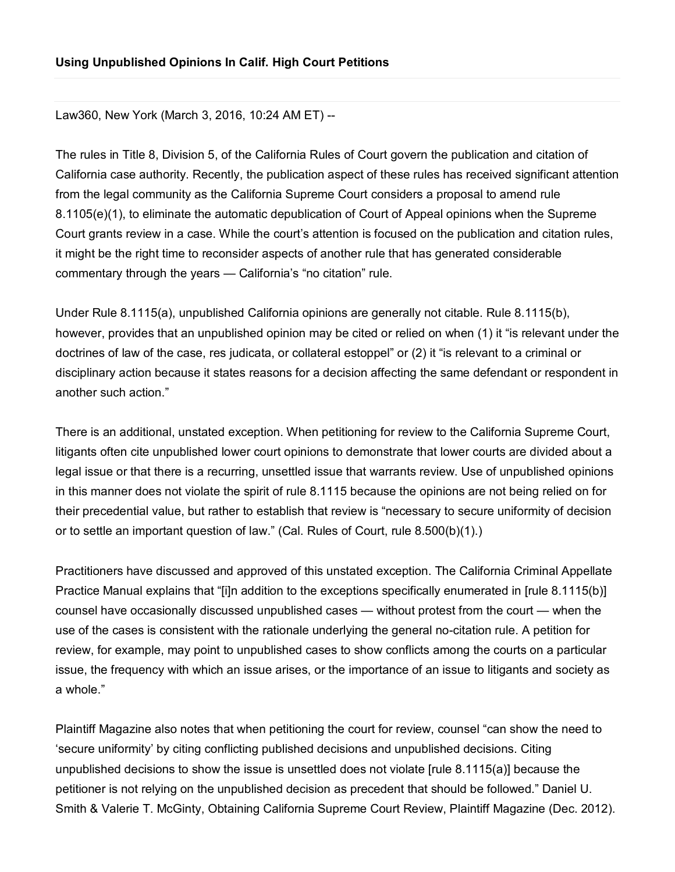Law360, New York (March 3, 2016, 10:24 AM ET) --

The rules in Title 8, Division 5, of the California Rules of Court govern the publication and citation of California case authority. Recently, the publication aspect of these rules has received significant attention from the legal community as the California Supreme Court considers a proposal to amend rule 8.1105(e)(1), to eliminate the automatic depublication of Court of Appeal opinions when the Supreme Court grants review in a case. While the court's attention is focused on the publication and citation rules, it might be the right time to reconsider aspects of another rule that has generated considerable commentary through the years — California's "no citation" rule.

Under Rule 8.1115(a), unpublished California opinions are generally not citable. Rule 8.1115(b), however, provides that an unpublished opinion may be cited or relied on when (1) it "is relevant under the doctrines of law of the case, res judicata, or collateral estoppel" or (2) it "is relevant to a criminal or disciplinary action because it states reasons for a decision affecting the same defendant or respondent in another such action."

There is an additional, unstated exception. When petitioning for review to the California Supreme Court, litigants often cite unpublished lower court opinions to demonstrate that lower courts are divided about a legal issue or that there is a recurring, unsettled issue that warrants review. Use of unpublished opinions in this manner does not violate the spirit of rule 8.1115 because the opinions are not being relied on for their precedential value, but rather to establish that review is "necessary to secure uniformity of decision or to settle an important question of law." (Cal. Rules of Court, rule 8.500(b)(1).)

Practitioners have discussed and approved of this unstated exception. The California Criminal Appellate Practice Manual explains that "[i]n addition to the exceptions specifically enumerated in [rule 8.1115(b)] counsel have occasionally discussed unpublished cases — without protest from the court — when the use of the cases is consistent with the rationale underlying the general no-citation rule. A petition for review, for example, may point to unpublished cases to show conflicts among the courts on a particular issue, the frequency with which an issue arises, or the importance of an issue to litigants and society as a whole."

Plaintiff Magazine also notes that when petitioning the court for review, counsel "can show the need to 'secure uniformity' by citing conflicting published decisions and unpublished decisions. Citing unpublished decisions to show the issue is unsettled does not violate [rule 8.1115(a)] because the petitioner is not relying on the unpublished decision as precedent that should be followed." Daniel U. Smith & Valerie T. McGinty, Obtaining California Supreme Court Review, Plaintiff Magazine (Dec. 2012).